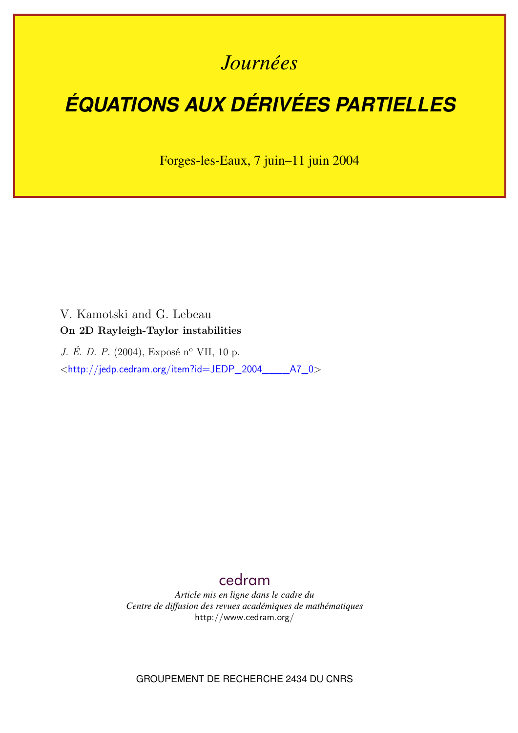## *Journées*

# *ÉQUATIONS AUX DÉRIVÉES PARTIELLES*

Forges-les-Eaux, 7 juin–11 juin 2004

V. Kamotski and G. Lebeau **On 2D Rayleigh-Taylor instabilities**

*J. É. D. P.* (2004), Exposé n<sup>o</sup> VII, 10 p. <[http://jedp.cedram.org/item?id=JEDP\\_2004\\_\\_\\_\\_A7\\_0](http://jedp.cedram.org/item?id=JEDP_2004____A7_0)>

### [cedram](http://www.cedram.org/)

*Article mis en ligne dans le cadre du Centre de diffusion des revues académiques de mathématiques* <http://www.cedram.org/>

GROUPEMENT DE RECHERCHE 2434 DU CNRS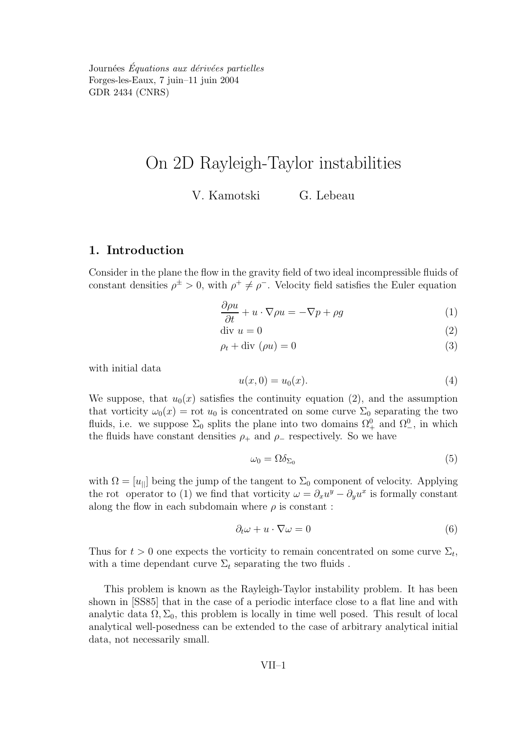Journées Équations aux dérivées partielles Forges-les-Eaux, 7 juin–11 juin 2004 GDR 2434 (CNRS)

## On 2D Rayleigh-Taylor instabilities

V. Kamotski G. Lebeau

#### 1. Introduction

Consider in the plane the flow in the gravity field of two ideal incompressible fluids of constant densities  $\rho^{\pm} > 0$ , with  $\rho^+ \neq \rho^-$ . Velocity field satisfies the Euler equation

$$
\frac{\partial \rho u}{\partial t} + u \cdot \nabla \rho u = -\nabla p + \rho g \tag{1}
$$

$$
\text{div } u = 0 \tag{2}
$$

$$
\rho_t + \text{div} \, (\rho u) = 0 \tag{3}
$$

with initial data

$$
u(x,0) = u_0(x). \t\t(4)
$$

We suppose, that  $u_0(x)$  satisfies the continuity equation (2), and the assumption that vorticity  $\omega_0(x) = \text{rot } u_0$  is concentrated on some curve  $\Sigma_0$  separating the two fluids, i.e. we suppose  $\Sigma_0$  splits the plane into two domains  $\Omega_+^0$  and  $\Omega_-^0$ , in which the fluids have constant densities  $\rho_+$  and  $\rho_-$  respectively. So we have

$$
\omega_0 = \Omega \delta_{\Sigma_0} \tag{5}
$$

with  $\Omega = [u_{\parallel}]$  being the jump of the tangent to  $\Sigma_0$  component of velocity. Applying the rot operator to (1) we find that vorticity  $\omega = \partial_x u^y - \partial_y u^x$  is formally constant along the flow in each subdomain where  $\rho$  is constant:

$$
\partial_t \omega + u \cdot \nabla \omega = 0 \tag{6}
$$

Thus for  $t > 0$  one expects the vorticity to remain concentrated on some curve  $\Sigma_t$ , with a time dependant curve  $\Sigma_t$  separating the two fluids.

This problem is known as the Rayleigh-Taylor instability problem. It has been shown in [SS85] that in the case of a periodic interface close to a flat line and with analytic data  $\Omega, \Sigma_0$ , this problem is locally in time well posed. This result of local analytical well-posedness can be extended to the case of arbitrary analytical initial data, not necessarily small.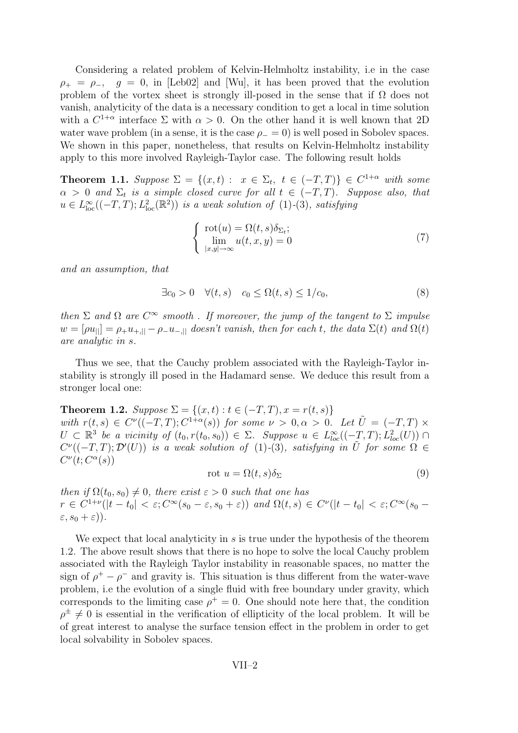Considering a related problem of Kelvin-Helmholtz instability, i.e in the case  $\rho_{+} = \rho_{-}$ ,  $q = 0$ , in [Leb02] and [Wu], it has been proved that the evolution problem of the vortex sheet is strongly ill-posed in the sense that if  $\Omega$  does not vanish, analyticity of the data is a necessary condition to get a local in time solution with a  $C^{1+\alpha}$  interface  $\Sigma$  with  $\alpha > 0$ . On the other hand it is well known that 2D water wave problem (in a sense, it is the case  $\rho_0 = 0$ ) is well posed in Sobolev spaces. We shown in this paper, nonetheless, that results on Kelvin-Helmholtz instability apply to this more involved Rayleigh-Taylor case. The following result holds

**Theorem 1.1.** Suppose  $\Sigma = \{(x,t) : x \in \Sigma_t, t \in (-T,T)\} \in C^{1+\alpha}$  with some  $\alpha > 0$  and  $\Sigma_t$  is a simple closed curve for all  $t \in (-T, T)$ . Suppose also, that  $u \in L^{\infty}_{loc}((-T,T); L^{2}_{loc}(\mathbb{R}^{2}))$  is a weak solution of (1)-(3), satisfying

$$
\begin{cases}\n\operatorname{rot}(u) = \Omega(t, s)\delta_{\Sigma_t}; \\
\lim_{|x, y| \to \infty} u(t, x, y) = 0\n\end{cases}
$$
\n(7)

and an assumption, that

$$
\exists c_0 > 0 \quad \forall (t, s) \quad c_0 \le \Omega(t, s) \le 1/c_0,\tag{8}
$$

then  $\Sigma$  and  $\Omega$  are  $C^{\infty}$  smooth . If moreover, the jump of the tangent to  $\Sigma$  impulse  $w = [\rho u_{\parallel}] = \rho_+ u_{+,\parallel} - \rho_- u_{-,\parallel}$  doesn't vanish, then for each t, the data  $\Sigma(t)$  and  $\Omega(t)$ are analytic in s.

Thus we see, that the Cauchy problem associated with the Rayleigh-Taylor instability is strongly ill posed in the Hadamard sense. We deduce this result from a stronger local one:

Theorem 1.2.  $Suppose \Sigma = \{(x,t) : t \in (-T,T), x = r(t,s)\}\$ with  $r(t,s) \in C^{\nu}((-T,T); C^{1+\alpha}(s))$  for some  $\nu > 0, \alpha > 0$ . Let  $\tilde{U} = (-T,T) \times$  $U \subset \mathbb{R}^3$  be a vicinity of  $(t_0, r(t_0, s_0)) \in \Sigma$ . Suppose  $u \in L^{\infty}_{loc}((-T,T); L^2_{loc}(U)) \cap$  $C^{\nu}((-T,T);{\cal D}'(U))$  is a weak solution of (1)-(3), satisfying in  $\tilde{U}$  for some  $\Omega \in$  $C^{\nu}(t; C^{\alpha}(s))$ 

$$
rot u = \Omega(t, s)\delta_{\Sigma}
$$
\n(9)

then if  $\Omega(t_0, s_0) \neq 0$ , there exist  $\varepsilon > 0$  such that one has  $r \in C^{1+\nu}(|t-t_0| < \varepsilon; C^{\infty}(s_0-\varepsilon, s_0+\varepsilon))$  and  $\Omega(t,s) \in C^{\nu}(|t-t_0| < \varepsilon; C^{\infty}(s_0-\varepsilon))$  $\varepsilon, s_0 + \varepsilon$ ).

We expect that local analyticity in  $s$  is true under the hypothesis of the theorem 1.2. The above result shows that there is no hope to solve the local Cauchy problem associated with the Rayleigh Taylor instability in reasonable spaces, no matter the sign of  $\rho^+ - \rho^-$  and gravity is. This situation is thus different from the water-wave problem, i.e the evolution of a single fluid with free boundary under gravity, which corresponds to the limiting case  $\rho^+ = 0$ . One should note here that, the condition  $\rho^{\pm} \neq 0$  is essential in the verification of ellipticity of the local problem. It will be of great interest to analyse the surface tension effect in the problem in order to get local solvability in Sobolev spaces.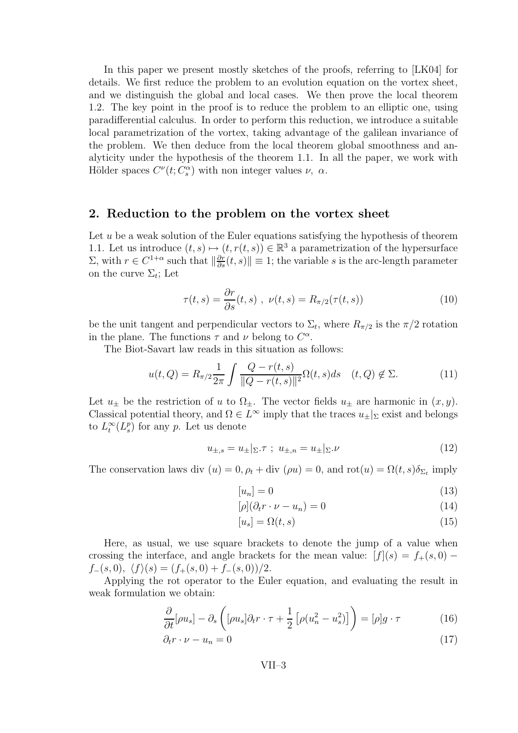In this paper we present mostly sketches of the proofs, referring to [LK04] for details. We first reduce the problem to an evolution equation on the vortex sheet, and we distinguish the global and local cases. We then prove the local theorem 1.2. The key point in the proof is to reduce the problem to an elliptic one, using paradifferential calculus. In order to perform this reduction, we introduce a suitable local parametrization of the vortex, taking advantage of the galilean invariance of the problem. We then deduce from the local theorem global smoothness and analyticity under the hypothesis of the theorem 1.1. In all the paper, we work with Hölder spaces  $C^{\nu}(t; C_s^{\alpha})$  with non integer values  $\nu$ ,  $\alpha$ .

#### 2. Reduction to the problem on the vortex sheet

Let  $u$  be a weak solution of the Euler equations satisfying the hypothesis of theorem 1.1. Let us introduce  $(t, s) \mapsto (t, r(t, s)) \in \mathbb{R}^3$  a parametrization of the hypersurface  $\Sigma$ , with  $r \in C^{1+\alpha}$  such that  $\|\frac{\partial r}{\partial s}(t,s)\| \equiv 1$ ; the variable s is the arc-length parameter on the curve  $\Sigma_t$ ; Let

$$
\tau(t,s) = \frac{\partial r}{\partial s}(t,s) , \ \nu(t,s) = R_{\pi/2}(\tau(t,s))
$$
\n(10)

be the unit tangent and perpendicular vectors to  $\Sigma_t$ , where  $R_{\pi/2}$  is the  $\pi/2$  rotation in the plane. The functions  $\tau$  and  $\nu$  belong to  $C^{\alpha}$ .

The Biot-Savart law reads in this situation as follows:

$$
u(t,Q) = R_{\pi/2} \frac{1}{2\pi} \int \frac{Q - r(t,s)}{\|Q - r(t,s)\|^2} \Omega(t,s) ds \quad (t,Q) \notin \Sigma.
$$
 (11)

Let  $u_{\pm}$  be the restriction of u to  $\Omega_{\pm}$ . The vector fields  $u_{\pm}$  are harmonic in  $(x, y)$ . Classical potential theory, and  $\Omega \in L^{\infty}$  imply that the traces  $u_{\pm}|_{\Sigma}$  exist and belongs to  $L_t^{\infty}(L_s^p)$  for any p. Let us denote

$$
u_{\pm,s} = u_{\pm}|_{\Sigma}.\tau \; ; \; u_{\pm,n} = u_{\pm}|_{\Sigma}. \nu \tag{12}
$$

The conservation laws div  $(u) = 0$ ,  $\rho_t + \text{div}(\rho u) = 0$ , and  $\text{rot}(u) = \Omega(t, s)\delta_{\Sigma_t}$  imply

$$
[u_n] = 0 \tag{13}
$$

$$
[\rho](\partial_t r \cdot \nu - u_n) = 0 \tag{14}
$$

$$
[u_s] = \Omega(t, s) \tag{15}
$$

Here, as usual, we use square brackets to denote the jump of a value when crossing the interface, and angle brackets for the mean value:  $[f](s) = f_+(s, 0)$  $f_-(s, 0), \langle f \rangle(s) = (f_+(s, 0) + f_-(s, 0))/2.$ 

Applying the rot operator to the Euler equation, and evaluating the result in weak formulation we obtain:

$$
\frac{\partial}{\partial t}[\rho u_s] - \partial_s \left( [\rho u_s] \partial_t r \cdot \tau + \frac{1}{2} \left[ \rho (u_n^2 - u_s^2) \right] \right) = [\rho] g \cdot \tau \tag{16}
$$

$$
\partial_t r \cdot \nu - u_n = 0 \tag{17}
$$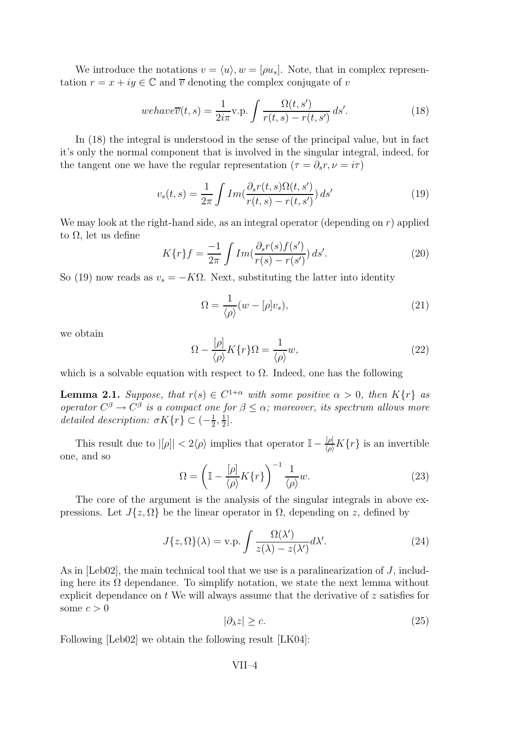We introduce the notations  $v = \langle u \rangle, w = [\rho u_s]$ . Note, that in complex representation  $r = x + iy \in \mathbb{C}$  and  $\overline{v}$  denoting the complex conjugate of v

$$
we have \overline{v}(t,s) = \frac{1}{2i\pi} \text{v.p.} \int \frac{\Omega(t,s')}{r(t,s) - r(t,s')} \, ds'. \tag{18}
$$

In (18) the integral is understood in the sense of the principal value, but in fact it's only the normal component that is involved in the singular integral, indeed, for the tangent one we have the regular representation ( $\tau = \partial_s r, \nu = i\tau$ )

$$
v_s(t,s) = \frac{1}{2\pi} \int Im\left(\frac{\partial_s r(t,s)\Omega(t,s')}{r(t,s) - r(t,s')}\right) ds'
$$
\n(19)

We may look at the right-hand side, as an integral operator (depending on  $r$ ) applied to Ω, let us define

$$
K\{r\}f = \frac{-1}{2\pi} \int Im(\frac{\partial_s r(s)f(s')}{r(s) - r(s')}) ds'. \tag{20}
$$

So (19) now reads as  $v_s = -K\Omega$ . Next, substituting the latter into identity

$$
\Omega = \frac{1}{\langle \rho \rangle} (w - [\rho] v_s), \tag{21}
$$

we obtain

$$
\Omega - \frac{[\rho]}{\langle \rho \rangle} K\{r\} \Omega = \frac{1}{\langle \rho \rangle} w,\tag{22}
$$

which is a solvable equation with respect to  $\Omega$ . Indeed, one has the following

**Lemma 2.1.** Suppose, that  $r(s) \in C^{1+\alpha}$  with some positive  $\alpha > 0$ , then  $K\{r\}$  as operator  $C^{\beta} \to C^{\beta}$  is a compact one for  $\beta \leq \alpha$ ; moreover, its spectrum allows more detailed description:  $\sigma K\{r\} \subset \left(-\frac{1}{2}\right)$  $\frac{1}{2}, \frac{1}{2}$  $\frac{1}{2}$ .

This result due to  $|[\rho]| < 2\langle \rho \rangle$  implies that operator  $\mathbb{I} - \frac{[\rho]}{\langle \rho \rangle} K\{r\}$  is an invertible one, and so

$$
\Omega = \left(\mathbb{I} - \frac{[\rho]}{\langle \rho \rangle} K\{r\}\right)^{-1} \frac{1}{\langle \rho \rangle} w.
$$
\n(23)

The core of the argument is the analysis of the singular integrals in above expressions. Let  $J\{z,\Omega\}$  be the linear operator in  $\Omega$ , depending on z, defined by

$$
J\{z,\Omega\}(\lambda) = \text{v.p.} \int \frac{\Omega(\lambda')}{z(\lambda) - z(\lambda')} d\lambda'. \tag{24}
$$

As in [Leb02], the main technical tool that we use is a paralinearization of J, including here its  $\Omega$  dependance. To simplify notation, we state the next lemma without explicit dependance on  $t$  We will always assume that the derivative of  $z$  satisfies for some  $c > 0$ 

$$
|\partial_{\lambda}z| \geq c. \tag{25}
$$

Following [Leb02] we obtain the following result [LK04]: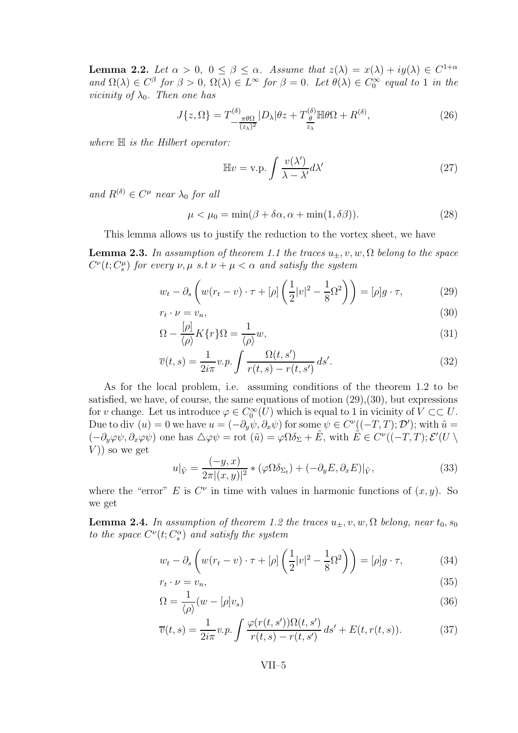**Lemma 2.2.** Let  $\alpha > 0$ ,  $0 \le \beta \le \alpha$ . Assume that  $z(\lambda) = x(\lambda) + iy(\lambda) \in C^{1+\alpha}$ and  $\Omega(\lambda) \in C^{\beta}$  for  $\beta > 0$ ,  $\Omega(\lambda) \in L^{\infty}$  for  $\beta = 0$ . Let  $\theta(\lambda) \in C_0^{\infty}$  equal to 1 in the *vicinity of*  $\lambda_0$ . Then one has

$$
J\{z,\Omega\} = T^{(\delta)}_{\frac{\pi\theta\Omega}{(z_{\lambda})^2}} |D_{\lambda}|\theta z + T^{(\delta)}_{\frac{\theta}{z_{\lambda}}} \mathbb{H}\theta\Omega + R^{(\delta)},\tag{26}
$$

where  $\mathbb H$  is the Hilbert operator:

$$
\mathbb{H}v = \text{v.p.} \int \frac{v(\lambda')}{\lambda - \lambda'} d\lambda' \tag{27}
$$

and  $R^{(\delta)} \in C^{\mu}$  near  $\lambda_0$  for all

$$
\mu < \mu_0 = \min(\beta + \delta\alpha, \alpha + \min(1, \delta\beta)).\tag{28}
$$

This lemma allows us to justify the reduction to the vortex sheet, we have

**Lemma 2.3.** In assumption of theorem 1.1 the traces  $u_+, v, w, \Omega$  belong to the space  $C^{\nu}(t; C^{\mu}_{s})$  for every  $\nu, \mu \, s.t \, \nu + \mu < \alpha$  and satisfy the system

$$
w_t - \partial_s \left( w(r_t - v) \cdot \tau + [\rho] \left( \frac{1}{2} |v|^2 - \frac{1}{8} \Omega^2 \right) \right) = [\rho] g \cdot \tau,
$$
\n(29)

$$
r_t \cdot \nu = v_n,\tag{30}
$$

$$
\Omega - \frac{\left[\rho\right]}{\left\langle\rho\right\rangle} K\left\{r\right\} \Omega = \frac{1}{\left\langle\rho\right\rangle} w,\tag{31}
$$

$$
\overline{v}(t,s) = \frac{1}{2i\pi}v.p. \int \frac{\Omega(t,s')}{r(t,s) - r(t,s')} ds'. \tag{32}
$$

As for the local problem, i.e. assuming conditions of the theorem 1.2 to be satisfied, we have, of course, the same equations of motion  $(29),(30)$ , but expressions for v change. Let us introduce  $\varphi \in C_0^{\infty}(U)$  which is equal to 1 in vicinity of  $V \subset \subset U$ . Due to div  $(u) = 0$  we have  $u = (-\partial_y \psi, \partial_x \psi)$  for some  $\psi \in C^{\nu}((-T, T); \mathcal{D}')$ ; with  $\tilde{u} =$  $(-\partial_y\varphi\psi, \partial_x\varphi\psi)$  one has  $\Delta\varphi\psi = \text{rot } (\tilde{u}) = \varphi\Omega\delta_{\Sigma} + \tilde{E}$ , with  $\tilde{E} \in C^{\nu}((-T, T); \mathcal{E}'(U \setminus$  $V$ ) so we get

$$
u|_{\tilde{V}} = \frac{(-y, x)}{2\pi |(x, y)|^2} * (\varphi \Omega \delta_{\Sigma_t}) + (-\partial_y E, \partial_x E)|_{\tilde{V}},
$$
\n(33)

where the "error" E is  $C^{\nu}$  in time with values in harmonic functions of  $(x, y)$ . So we get

**Lemma 2.4.** In assumption of theorem 1.2 the traces  $u_{\pm}$ , v, w,  $\Omega$  belong, near  $t_0$ ,  $s_0$ to the space  $C^{\nu}(t; C_{s}^{\alpha})$  and satisfy the system

$$
w_t - \partial_s \left( w(r_t - v) \cdot \tau + [\rho] \left( \frac{1}{2} |v|^2 - \frac{1}{8} \Omega^2 \right) \right) = [\rho] g \cdot \tau,
$$
 (34)

$$
r_t \cdot \nu = v_n,\tag{35}
$$

$$
\Omega = \frac{1}{\langle \rho \rangle}(w - [\rho]v_s) \tag{36}
$$

$$
\overline{v}(t,s) = \frac{1}{2i\pi}v.p. \int \frac{\varphi(r(t,s'))\Omega(t,s')}{r(t,s) - r(t,s')} ds' + E(t,r(t,s)).
$$
\n(37)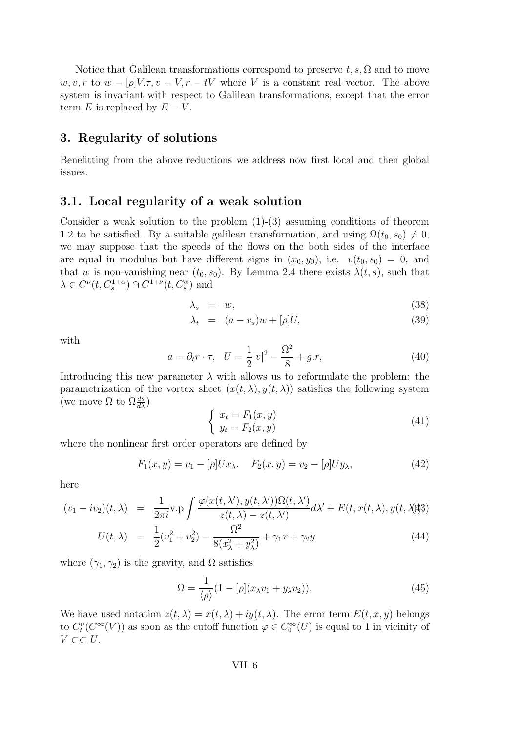Notice that Galilean transformations correspond to preserve  $t, s, \Omega$  and to move w, v, r to  $w - [\rho]V.\tau, v - V, r - tV$  where V is a constant real vector. The above system is invariant with respect to Galilean transformations, except that the error term E is replaced by  $E - V$ .

#### 3. Regularity of solutions

Benefitting from the above reductions we address now first local and then global issues.

#### 3.1. Local regularity of a weak solution

Consider a weak solution to the problem (1)-(3) assuming conditions of theorem 1.2 to be satisfied. By a suitable galilean transformation, and using  $\Omega(t_0, s_0) \neq 0$ , we may suppose that the speeds of the flows on the both sides of the interface are equal in modulus but have different signs in  $(x_0, y_0)$ , i.e.  $v(t_0, s_0) = 0$ , and that w is non-vanishing near  $(t_0, s_0)$ . By Lemma 2.4 there exists  $\lambda(t, s)$ , such that  $\lambda \in C^{\nu}(t, C_s^{1+\alpha}) \cap C^{1+\nu}(t, C_s^{\alpha})$  and

$$
\lambda_s = w,\tag{38}
$$

$$
\lambda_t = (a - v_s)w + [\rho]U,\tag{39}
$$

with

$$
a = \partial_t r \cdot \tau, \quad U = \frac{1}{2}|v|^2 - \frac{\Omega^2}{8} + g.r,\tag{40}
$$

Introducing this new parameter  $\lambda$  with allows us to reformulate the problem: the parametrization of the vortex sheet  $(x(t, \lambda), y(t, \lambda))$  satisfies the following system (we move  $\Omega$  to  $\Omega \frac{ds}{d\lambda}$ )

$$
\begin{cases}\n x_t = F_1(x, y) \\
 y_t = F_2(x, y)\n\end{cases} \tag{41}
$$

where the nonlinear first order operators are defined by

$$
F_1(x, y) = v_1 - [\rho]Ux_\lambda, \quad F_2(x, y) = v_2 - [\rho]Uy_\lambda,
$$
\n(42)

here

$$
(v_1 - iv_2)(t, \lambda) = \frac{1}{2\pi i} \mathbf{v} \cdot \mathbf{p} \int \frac{\varphi(x(t, \lambda'), y(t, \lambda'))\Omega(t, \lambda')}{z(t, \lambda) - z(t, \lambda')} d\lambda' + E(t, x(t, \lambda), y(t, \lambda))
$$
\n
$$
= \frac{1}{2\pi i} \mathbf{v} \cdot \mathbf{p} \int \frac{\varphi(x(t, \lambda'), y(t, \lambda'))\Omega(t, \lambda')}{\Omega^2} d\lambda' + E(t, x(t, \lambda), y(t, \lambda))
$$
\n(4.4)

$$
U(t,\lambda) = \frac{1}{2}(v_1^2 + v_2^2) - \frac{\Omega^2}{8(x_\lambda^2 + y_\lambda^2)} + \gamma_1 x + \gamma_2 y \tag{44}
$$

where  $(\gamma_1, \gamma_2)$  is the gravity, and  $\Omega$  satisfies

$$
\Omega = \frac{1}{\langle \rho \rangle} (1 - [\rho](x_{\lambda}v_1 + y_{\lambda}v_2)). \tag{45}
$$

We have used notation  $z(t, \lambda) = x(t, \lambda) + iy(t, \lambda)$ . The error term  $E(t, x, y)$  belongs to  $C_t^{\nu}(C^{\infty}(V))$  as soon as the cutoff function  $\varphi \in C_0^{\infty}(U)$  is equal to 1 in vicinity of  $V \subset\subset U$ .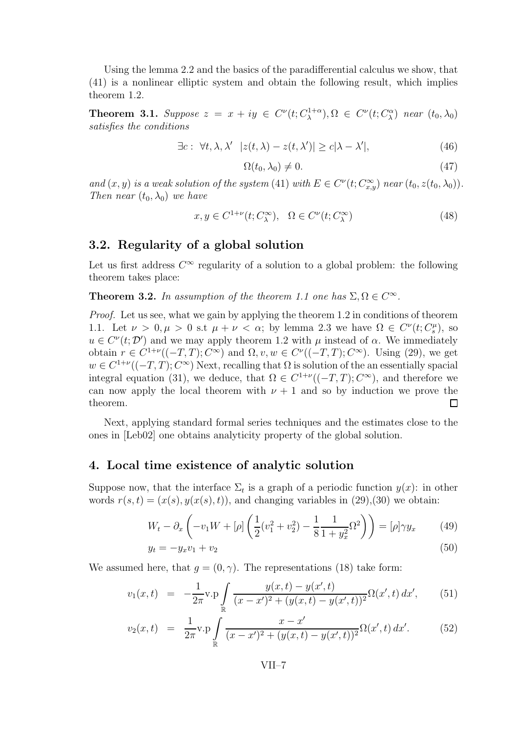Using the lemma 2.2 and the basics of the paradifferential calculus we show, that (41) is a nonlinear elliptic system and obtain the following result, which implies theorem 1.2.

**Theorem 3.1.** Suppose  $z = x + iy \in C^{\nu}(t; C_{\lambda}^{1+\alpha})$  $(\lambda^{1+\alpha}), \Omega \in C^{\nu}(t; C^{\alpha}_{\lambda})$  near  $(t_0, \lambda_0)$ satisfies the conditions

$$
\exists c: \forall t, \lambda, \lambda' \ \ |z(t, \lambda) - z(t, \lambda')| \ge c|\lambda - \lambda'|,\tag{46}
$$

$$
\Omega(t_0, \lambda_0) \neq 0. \tag{47}
$$

and  $(x, y)$  is a weak solution of the system (41) with  $E \in C^{\nu}(t; C^{\infty}_{x,y})$  near  $(t_0, z(t_0, \lambda_0))$ . Then near  $(t_0, \lambda_0)$  we have

$$
x, y \in C^{1+\nu}(t; C^{\infty}_{\lambda}), \quad \Omega \in C^{\nu}(t; C^{\infty}_{\lambda})
$$
\n
$$
(48)
$$

#### 3.2. Regularity of a global solution

Let us first address  $C^{\infty}$  regularity of a solution to a global problem: the following theorem takes place:

**Theorem 3.2.** In assumption of the theorem 1.1 one has  $\Sigma, \Omega \in C^{\infty}$ .

Proof. Let us see, what we gain by applying the theorem 1.2 in conditions of theorem 1.1. Let  $\nu > 0, \mu > 0$  s.t  $\mu + \nu < \alpha$ ; by lemma 2.3 we have  $\Omega \in C^{\nu}(t; C_s^{\mu})$ , so  $u \in C^{\nu}(t; \mathcal{D}')$  and we may apply theorem 1.2 with  $\mu$  instead of  $\alpha$ . We immediately obtain  $r \in C^{1+\nu}((-T,T); C^{\infty})$  and  $\Omega, v, w \in C^{\nu}((-T,T); C^{\infty})$ . Using (29), we get  $w \in C^{1+\nu}((-T,T); C^{\infty})$  Next, recalling that  $\Omega$  is solution of the an essentially spacial integral equation (31), we deduce, that  $\Omega \in C^{1+\nu}((-T,T); C^{\infty})$ , and therefore we can now apply the local theorem with  $\nu + 1$  and so by induction we prove the theorem.  $\Box$ 

Next, applying standard formal series techniques and the estimates close to the ones in [Leb02] one obtains analyticity property of the global solution.

#### 4. Local time existence of analytic solution

Suppose now, that the interface  $\Sigma_t$  is a graph of a periodic function  $y(x)$ : in other words  $r(s, t) = (x(s), y(x(s), t))$ , and changing variables in (29),(30) we obtain:

$$
W_t - \partial_x \left( -v_1 W + [\rho] \left( \frac{1}{2} (v_1^2 + v_2^2) - \frac{1}{8} \frac{1}{1 + y_x^2} \Omega^2 \right) \right) = [\rho] \gamma y_x \tag{49}
$$

$$
y_t = -y_x v_1 + v_2 \tag{50}
$$

We assumed here, that  $q = (0, \gamma)$ . The representations (18) take form:

$$
v_1(x,t) = -\frac{1}{2\pi} \mathbf{v} \cdot \mathbf{p} \int_{\mathbb{R}} \frac{y(x,t) - y(x',t)}{(x-x')^2 + (y(x,t) - y(x',t))^2} \Omega(x',t) dx', \qquad (51)
$$

$$
v_2(x,t) = \frac{1}{2\pi} \text{v.p} \int_{\mathbb{R}} \frac{x - x'}{(x - x')^2 + (y(x,t) - y(x',t))^2} \Omega(x',t) dx'. \tag{52}
$$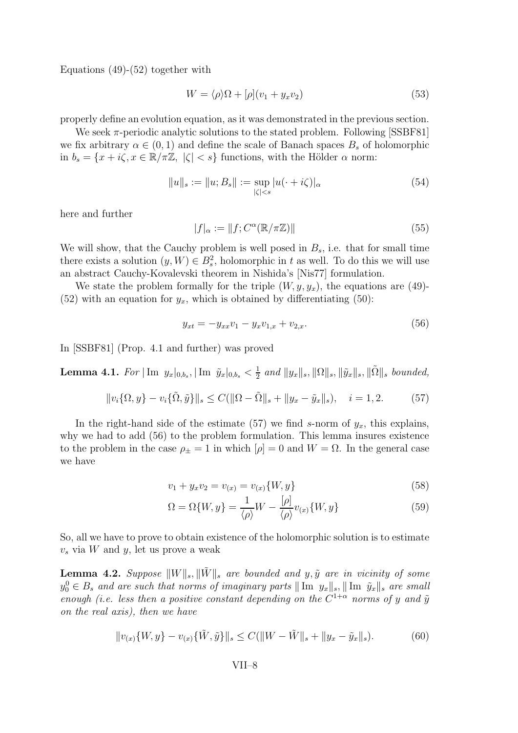Equations (49)-(52) together with

$$
W = \langle \rho \rangle \Omega + [\rho](v_1 + y_x v_2) \tag{53}
$$

properly define an evolution equation, as it was demonstrated in the previous section.

We seek  $\pi$ -periodic analytic solutions to the stated problem. Following [SSBF81] we fix arbitrary  $\alpha \in (0,1)$  and define the scale of Banach spaces  $B_s$  of holomorphic in  $b_s = \{x + i\zeta, x \in \mathbb{R}/\pi\mathbb{Z}, |\zeta| < s\}$  functions, with the Hölder  $\alpha$  norm:

$$
||u||_{s} := ||u; B_{s}|| := \sup_{|\zeta| < s} |u(\cdot + i\zeta)|_{\alpha} \tag{54}
$$

here and further

$$
|f|_{\alpha} := ||f; C^{\alpha}(\mathbb{R}/\pi\mathbb{Z})|| \tag{55}
$$

We will show, that the Cauchy problem is well posed in  $B_s$ , i.e. that for small time there exists a solution  $(y, W) \in B_s^2$ , holomorphic in t as well. To do this we will use an abstract Cauchy-Kovalevski theorem in Nishida's [Nis77] formulation.

We state the problem formally for the triple  $(W, y, y_x)$ , the equations are (49)-(52) with an equation for  $y_x$ , which is obtained by differentiating (50):

$$
y_{xt} = -y_{xx}v_1 - y_xv_{1,x} + v_{2,x}.
$$
\n(56)

In [SSBF81] (Prop. 4.1 and further) was proved

**Lemma 4.1.** For  $|\text{Im } y_x|_{0,b_s}$ ,  $|\text{Im } \tilde{y}_x|_{0,b_s} < \frac{1}{2}$  $\frac{1}{2}$  and  $||y_x||_s, ||\Omega||_s, ||\tilde{y}_x||_s, ||\tilde{\Omega}||_s$  bounded,

$$
||v_i\{\Omega, y\} - v_i\{\tilde{\Omega}, \tilde{y}\}||_s \le C(||\Omega - \tilde{\Omega}||_s + ||y_x - \tilde{y}_x||_s), \quad i = 1, 2. \tag{57}
$$

In the right-hand side of the estimate (57) we find s-norm of  $y_x$ , this explains, why we had to add (56) to the problem formulation. This lemma insures existence to the problem in the case  $\rho_{\pm} = 1$  in which  $[\rho] = 0$  and  $W = \Omega$ . In the general case we have

$$
v_1 + y_x v_2 = v_{(x)} = v_{(x)} \{W, y\}
$$
\n(58)

$$
\Omega = \Omega\{W, y\} = \frac{1}{\langle \rho \rangle} W - \frac{[\rho]}{\langle \rho \rangle} v_{(x)} \{W, y\}
$$
\n(59)

So, all we have to prove to obtain existence of the holomorphic solution is to estimate  $v<sub>s</sub>$  via W and y, let us prove a weak

**Lemma 4.2.** Suppose  $\Vert W \Vert_s, \Vert \tilde{W} \Vert_s$  are bounded and y,  $\tilde{y}$  are in vicinity of some  $y_0^0 \in B_s$  and are such that norms of imaginary parts  $\|\text{Im } y_x\|_s$ ,  $\|\text{Im } \tilde{y}_x\|_s$  are small enough (i.e. less then a positive constant depending on the  $C^{1+\alpha}$  norms of y and  $\tilde{y}$ on the real axis), then we have

$$
||v_{(x)}\{W,y\} - v_{(x)}\{\tilde{W},\tilde{y}\}||_{s} \le C(||W - \tilde{W}||_{s} + ||y_{x} - \tilde{y}_{x}||_{s}).
$$
\n(60)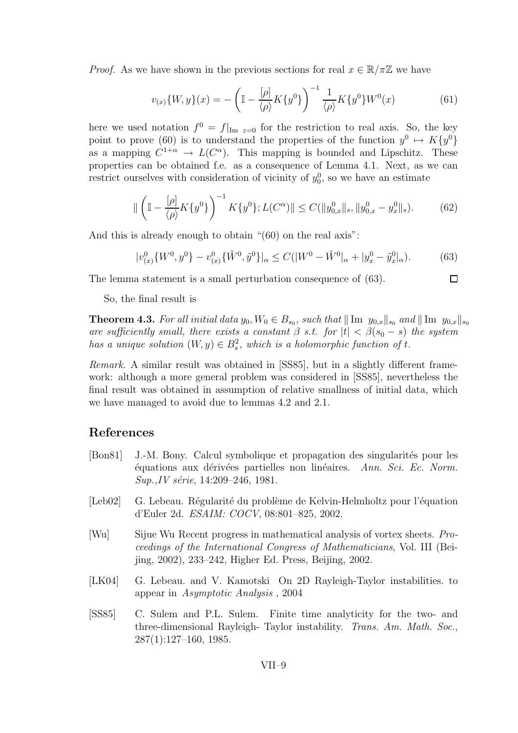*Proof.* As we have shown in the previous sections for real  $x \in \mathbb{R}/\pi\mathbb{Z}$  we have

$$
v_{(x)}\{W,y\}(x) = -\left(\mathbb{I} - \frac{[\rho]}{\langle \rho \rangle} K\{y^0\}\right)^{-1} \frac{1}{\langle \rho \rangle} K\{y^0\} W^0(x) \tag{61}
$$

here we used notation  $f^0 = f|_{\text{Im } z=0}$  for the restriction to real axis. So, the key point to prove (60) is to understand the properties of the function  $y^0 \mapsto K\{y^0\}$ as a mapping  $C^{1+\alpha} \to L(C^{\alpha})$ . This mapping is bounded and Lipschitz. These properties can be obtained f.e. as a consequence of Lemma 4.1. Next, as we can restrict ourselves with consideration of vicinity of  $y_0^0$ , so we have an estimate

$$
\|\left(\mathbb{I} - \frac{[\rho]}{\langle \rho \rangle} K\{y^0\}\right)^{-1} K\{y^0\}; L(C^{\alpha})\| \le C(\|y^0_{0,x}\|_s, \|y^0_{0,x} - y^0_x\|_s). \tag{62}
$$

And this is already enough to obtain "(60) on the real axis":

$$
|v_{(x)}^0 \{W^0, y^0\} - v_{(x)}^0 \{\tilde{W}^0, \tilde{y}^0\}|_{\alpha} \le C(|W^0 - \tilde{W}^0|_{\alpha} + |y_x^0 - \tilde{y}_x^0|_{\alpha}).
$$
 (63)

The lemma statement is a small perturbation consequence of (63).

$$
\Box
$$

So, the final result is

**Theorem 4.3.** For all initial data  $y_0, W_0 \in B_{s_0}$ , such that  $\|\text{Im } y_{0,x}\|_{s_0}$  and  $\|\text{Im } y_{0,x}\|_{s_0}$ are sufficiently small, there exists a constant  $\beta$  s.t. for  $|t| < \beta(s_0 - s)$  the system has a unique solution  $(W, y) \in B_s^2$ , which is a holomorphic function of t.

Remark. A similar result was obtained in [SS85], but in a slightly different framework: although a more general problem was considered in [SS85], nevertheless the final result was obtained in assumption of relative smallness of initial data, which we have managed to avoid due to lemmas 4.2 and 2.1.

#### References

- [Bon81] J.-M. Bony. Calcul symbolique et propagation des singularités pour les  $\acute{e}$ quations aux dérivées partielles non linéaires. Ann. Sci. Ec. Norm.  $Sup.$ , IV série, 14:209–246, 1981.
- [Leb02] G. Lebeau. Régularité du problème de Kelvin-Helmholtz pour l'équation d'Euler 2d. ESAIM: COCV, 08:801–825, 2002.
- [Wu] Sijue Wu Recent progress in mathematical analysis of vortex sheets. Proceedings of the International Congress of Mathematicians, Vol. III (Beijing, 2002), 233–242, Higher Ed. Press, Beijing, 2002.
- [LK04] G. Lebeau. and V. Kamotski On 2D Rayleigh-Taylor instabilities. to appear in Asymptotic Analysis , 2004
- [SS85] C. Sulem and P.L. Sulem. Finite time analyticity for the two- and three-dimensional Rayleigh- Taylor instability. Trans. Am. Math. Soc., 287(1):127–160, 1985.